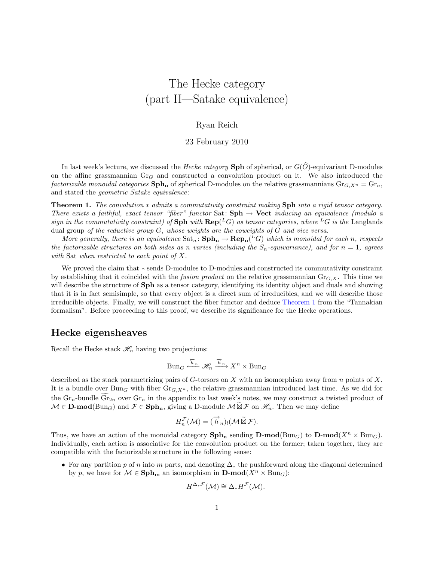# The Hecke category (part II—Satake equivalence)

#### Ryan Reich

23 February 2010

In last week's lecture, we discussed the *Hecke category* Sph of spherical, or  $G(\widehat{O})$ -equivariant D-modules on the affine grassmannian  $Gr_G$  and constructed a convolution product on it. We also introduced the factorizable monoidal categories  $\text{Sph}_n$  of spherical D-modules on the relative grassmannians  $\text{Gr}_{G,X^n} = \text{Gr}_n$ , and stated the geometric Satake equivalence:

<span id="page-0-0"></span>**Theorem 1.** The convolution  $*$  admits a commutativity constraint making Sph into a rigid tensor category. There exists a faithful, exact tensor "fiber" functor Sat:  $Sph \rightarrow Vect$  inducing an equivalence (modulo a sign in the commutativity constraint) of Sph with  $\mathbf{Rep}(^L G)$  as tensor categories, where <sup>L</sup>G is the Langlands dual group of the reductive group  $G$ , whose weights are the coweights of  $G$  and vice versa.

More generally, there is an equivalence  $\text{Sat}_n: \text{Sph}_n \to \text{Rep}_n({}^L G)$  which is monoidal for each n, respects the factorizable structures on both sides as n varies (including the  $S_n$ -equivariance), and for  $n = 1$ , agrees with Sat when restricted to each point of X.

We proved the claim that ∗ sends D-modules to D-modules and constructed its commutativity constraint by establishing that it coincided with the *fusion product* on the relative grassmannian  $\text{Gr}_{G,X}$ . This time we will describe the structure of **Sph** as a tensor category, identifying its identity object and duals and showing that it is in fact semisimple, so that every object is a direct sum of irreducibles, and we will describe those irreducible objects. Finally, we will construct the fiber functor and deduce [Theorem 1](#page-0-0) from the "Tannakian formalism". Before proceeding to this proof, we describe its significance for the Hecke operations.

### Hecke eigensheaves

Recall the Hecke stack  $\mathcal{H}_n$  having two projections:

$$
Bun_G \xleftarrow{\overleftarrow{h}_n} \mathcal{H}_n \xrightarrow{\overrightarrow{h}_n} X^n \times Bun_G
$$

described as the stack parametrizing pairs of G-torsors on X with an isomorphism away from n points of X. It is a bundle over  $\text{Bun}_G$  with fiber  $\text{Gr}_{G,X^n}$ , the relative grassmannian introduced last time. As we did for the Gr<sub>n</sub>-bundle Gr<sub>2n</sub> over Gr<sub>n</sub> in the appendix to last week's notes, we may construct a twisted product of  $M \in \mathbf{D}\text{-}\mathbf{mod}(\text{Bun}_G)$  and  $\mathcal{F} \in \mathbf{Sph}_n$ , giving a D-module  $M \widetilde{\boxtimes} \mathcal{F}$  on  $\mathscr{H}_n$ . Then we may define

$$
H_n^{\mathcal{F}}(\mathcal{M}) = (\overrightarrow{h}_n)_! (\mathcal{M} \widetilde{\boxtimes} \mathcal{F}).
$$

Thus, we have an action of the monoidal category  $\text{Sph}_n$  sending  $\text{D-mod}(Bun_G)$  to  $\text{D-mod}(X^n \times Bun_G)$ . Individually, each action is associative for the convolution product on the former; taken together, they are compatible with the factorizable structure in the following sense:

• For any partition p of n into m parts, and denoting  $\Delta_*$  the pushforward along the diagonal determined by p, we have for  $\mathcal{M} \in \mathbf{Sph}_{m}$  an isomorphism in  $\mathbf{D}\text{-mod}(X^n \times \text{Bun}_G)$ :

$$
H^{\Delta_*\mathcal{F}}(\mathcal{M}) \cong \Delta_* H^{\mathcal{F}}(\mathcal{M}).
$$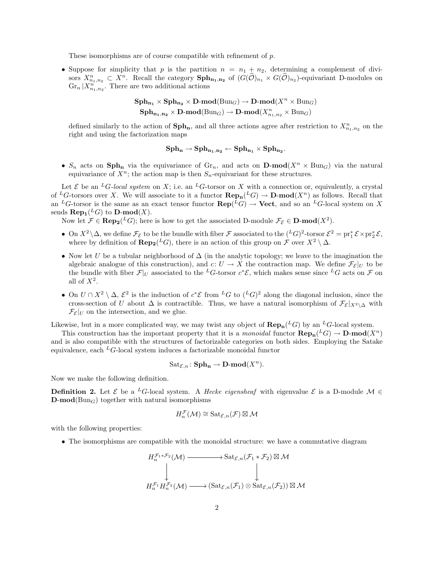These isomorphisms are of course compatible with refinement of p.

• Suppose for simplicity that p is the partition  $n = n_1 + n_2$ , determining a complement of divisors  $X_{n_1,n_2}^n \subset X^n$ . Recall the category  $\text{Sph}_{n_1,n_2}$  of  $(G(\hat{\mathcal{O}})_{n_1} \times G(\hat{\mathcal{O}})_{n_2})$ -equivariant D-modules on  $\operatorname{Gr}_n | X_{n_1,n_2}^n$ . There are two additional actions

$$
\begin{aligned} \mathbf{Sph}_{\mathbf{n_1}}\times\mathbf{Sph}_{\mathbf{n_2}}\times\mathbf{D}\text{-mod}(\mathrm{Bun}_G)\to\mathbf{D}\text{-mod}(X^n\times\mathrm{Bun}_G)\\ \mathbf{Sph}_{\mathbf{n_1},\mathbf{n_2}}\times\mathbf{D}\text{-mod}(\mathrm{Bun}_G)\to\mathbf{D}\text{-mod}(X^n_{n_1,n_2}\times\mathrm{Bun}_G) \end{aligned}
$$

defined similarly to the action of  $\text{Sph}_n$ , and all three actions agree after restriction to  $X^n_{n_1,n_2}$  on the right and using the factorization maps

$$
\operatorname{\mathbf{Sph}}_{\mathbf{n}}\rightarrow \operatorname{\mathbf{Sph}}_{\mathbf{n_1},\mathbf{n_2}}\leftarrow \operatorname{\mathbf{Sph}}_{\mathbf{n_1}}\times \operatorname{\mathbf{Sph}}_{\mathbf{n_2}}.
$$

•  $S_n$  acts on  $\text{Sph}_n$  via the equivariance of  $\text{Gr}_n$ , and acts on  $\text{D-mod}(X^n \times \text{Bun}_G)$  via the natural equivariance of  $X^n$ ; the action map is then  $S_n$ -equivariant for these structures.

Let  $\mathcal E$  be an <sup>L</sup>G-local system on X; i.e. an <sup>L</sup>G-torsor on X with a connection or, equivalently, a crystal of <sup>L</sup>G-torsors over X. We will associate to it a functor  $\mathbf{Rep}_{n}(^{L}G) \to \mathbf{D}\text{-mod}(X^{n})$  as follows. Recall that an <sup>L</sup>G-torsor is the same as an exact tensor functor  $\mathbf{Rep}(^L G) \to \mathbf{Vect}$ , and so an <sup>L</sup>G-local system on X sends  $\mathbf{Rep}_1({}^L G)$  to  $\mathbf{D}\text{-mod}(X)$ .

Now let  $\mathcal{F} \in \mathbf{Rep}_2(\mathcal{L}G)$ ; here is how to get the associated D-module  $\mathcal{F}_{\mathcal{E}} \in \mathbf{D}\text{-mod}(X^2)$ .

- On  $X^2 \setminus \Delta$ , we define  $\mathcal{F}_{\mathcal{E}}$  to be the bundle with fiber  $\mathcal{F}$  associated to the  $({}^L G)^2$ -torsor  $\mathcal{E}^2 = \text{pr}_1^* \mathcal{E} \times \text{pr}_2^* \mathcal{E}$ , where by definition of  $\mathbf{Rep}_2({}^L G)$ , there is an action of this group on  $\mathcal F$  over  $X^2 \setminus \Delta$ .
- Now let U be a tubular neighborhood of  $\Delta$  (in the analytic topology; we leave to the imagination the algebraic analogue of this construction), and  $c: U \to X$  the contraction map. We define  $\mathcal{F}_{\mathcal{E}}|_U$  to be the bundle with fiber  $\mathcal{F}|_U$  associated to the <sup>L</sup>G-torsor  $c^*\mathcal{E}$ , which makes sense since <sup>L</sup>G acts on  $\mathcal F$  on all of  $X^2$ .
- On  $U \cap X^2 \setminus \Delta$ ,  $\mathcal{E}^2$  is the induction of  $c^* \mathcal{E}$  from  $^L G$  to  $(^L G)^2$  along the diagonal inclusion, since the cross-section of U about  $\Delta$  is contractible. Thus, we have a natural isomorphism of  $\mathcal{F}_{\mathcal{E}}|_{X^2\setminus\Delta}$  with  $\mathcal{F}_{\mathcal{E}}|_U$  on the intersection, and we glue.

Likewise, but in a more complicated way, we may twist any object of  $\mathbf{Rep}_{n}(^{L}G)$  by an  $^{L}G$ -local system.

This construction has the important property that it is a *monoidal* functor  $\mathbf{Rep}_{\mathbf{n}}(^L G) \to \mathbf{D}\text{-mod}(X^n)$ and is also compatible with the structures of factorizable categories on both sides. Employing the Satake equivalence, each  ${}^L G$ -local system induces a factorizable monoidal functor

$$
\text{Sat}_{\mathcal{E},n}\colon \mathbf{Sph_n}\to \mathbf{D}\text{-}\mathbf{mod}(X^n).
$$

Now we make the following definition.

**Definition 2.** Let  $\mathcal{E}$  be a <sup>L</sup>G-local system. A Hecke eigensheaf with eigenvalue  $\mathcal{E}$  is a D-module  $\mathcal{M} \in$  $\mathbf{D}\text{-mod}(\text{Bun}_G)$  together with natural isomorphisms

$$
H_n^{\mathcal{F}}(\mathcal{M}) \cong \mathrm{Sat}_{\mathcal{E},n}(\mathcal{F}) \boxtimes \mathcal{M}
$$

with the following properties:

• The isomorphisms are compatible with the monoidal structure: we have a commutative diagram

$$
H_n^{\mathcal{F}_1 * \mathcal{F}_2}(\mathcal{M}) \longrightarrow \mathrm{Sat}_{\mathcal{E},n}(\mathcal{F}_1 * \mathcal{F}_2) \boxtimes \mathcal{M}
$$
  

$$
\downarrow \qquad \qquad \downarrow
$$
  

$$
H_n^{\mathcal{F}_1} H_n^{\mathcal{F}_2}(\mathcal{M}) \longrightarrow (\mathrm{Sat}_{\mathcal{E},n}(\mathcal{F}_1) \otimes \mathrm{Sat}_{\mathcal{E},n}(\mathcal{F}_2)) \boxtimes \mathcal{M}
$$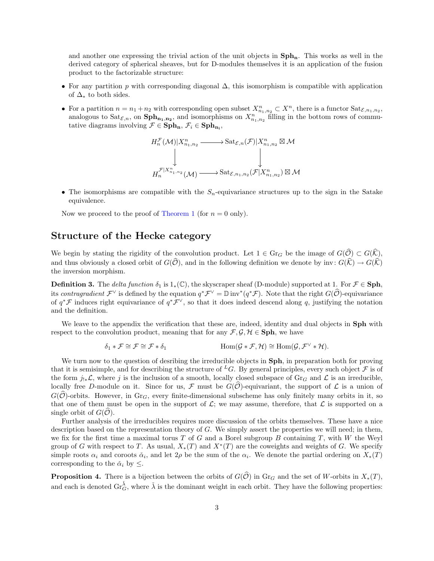and another one expressing the trivial action of the unit objects in  $Sph_n$ . This works as well in the derived category of spherical sheaves, but for D-modules themselves it is an application of the fusion product to the factorizable structure:

- For any partition p with corresponding diagonal  $\Delta$ , this isomorphism is compatible with application of  $\Delta_*$  to both sides.
- For a partition  $n = n_1 + n_2$  with corresponding open subset  $X_{n_1,n_2}^n \subset X^n$ , there is a functor  $\text{Sat}_{\mathcal{E},n_1,n_2}$ , analogous to  $\text{Sat}_{\mathcal{E},n}$ , on  $\text{Sph}_{n_1,n_2}$ , and isomorphisms on  $X_{n_1,n_2}^n$  filling in the bottom rows of commutative diagrams involving  $\mathcal{F} \in \mathbf{Sph}_n$ ,  $\mathcal{F}_i \in \mathbf{Sph}_{n_i}$ ,

$$
H_n^{\mathcal{F}}(\mathcal{M})|X_{n_1,n_2}^n \longrightarrow \text{Sat}_{\mathcal{E},n}(\mathcal{F})|X_{n_1,n_2}^n \boxtimes \mathcal{M}
$$
  
\n
$$
\downarrow \qquad \qquad \downarrow
$$
  
\n
$$
H_n^{\mathcal{F}|X_{n_1,n_2}^n}(\mathcal{M}) \longrightarrow \text{Sat}_{\mathcal{E},n_1,n_2}(\mathcal{F}|X_{n_1,n_2}^n) \boxtimes \mathcal{M}
$$

• The isomorphisms are compatible with the  $S_n$ -equivariance structures up to the sign in the Satake equivalence.

Now we proceed to the proof of [Theorem 1](#page-0-0) (for  $n = 0$  only).

## Structure of the Hecke category

We begin by stating the rigidity of the convolution product. Let  $1 \in \text{Gr}_G$  be the image of  $G(\widehat{O}) \subset G(\widehat{K}),$ and thus obviously a closed orbit of  $G(\hat{\mathcal{O}})$ , and in the following definition we denote by inv:  $G(\hat{\mathcal{K}}) \to G(\hat{\mathcal{K}})$ the inversion morphism.

**Definition 3.** The delta function  $\delta_1$  is  $1_*(\mathbb{C})$ , the skyscraper sheaf (D-module) supported at 1. For  $\mathcal{F} \in \mathbf{Sph}$ , its contragradient  $\mathcal{F}^{\vee}$  is defined by the equation  $q^*\mathcal{F}^{\vee} = \mathbb{D}$  inv<sup>\*</sup> $(q^*\mathcal{F})$ . Note that the right  $G(\widehat{\mathcal{O}})$ -equivariance of  $q^*\mathcal{F}$  induces right equivariance of  $q^*\mathcal{F}^{\vee}$ , so that it does indeed descend along q, justifying the notation and the definition.

We leave to the appendix the verification that these are, indeed, identity and dual objects in Sph with respect to the convolution product, meaning that for any  $\mathcal{F}, \mathcal{G}, \mathcal{H} \in \mathbf{Sph}$ , we have

$$
\delta_1 * \mathcal{F} \cong \mathcal{F} \cong \mathcal{F} * \delta_1 \qquad \qquad \text{Hom}(\mathcal{G} * \mathcal{F}, \mathcal{H}) \cong \text{Hom}(\mathcal{G}, \mathcal{F}^{\vee} * \mathcal{H}).
$$

We turn now to the question of desribing the irreducible objects in **Sph**, in preparation both for proving that it is semisimple, and for describing the structure of <sup>L</sup>G. By general principles, every such object  $\mathcal F$  is of the form  $j_{!*}{\mathcal L}$ , where j is the inclusion of a smooth, locally closed subspace of Gr<sub>G</sub> and  ${\mathcal L}$  is an irreducible, locally free D-module on it. Since for us,  $\mathcal F$  must be  $G(\mathcal O)$ -equivariant, the support of  $\mathcal L$  is a union of  $G(\hat{\mathcal{O}})$ -orbits. However, in  $\text{Gr}_G$ , every finite-dimensional subscheme has only finitely many orbits in it, so that one of them must be open in the support of  $\mathcal{L}$ ; we may assume, therefore, that  $\mathcal{L}$  is supported on a single orbit of  $G(\mathcal{O})$ .

Further analysis of the irreducibles requires more discussion of the orbits themselves. These have a nice description based on the representation theory of  $G$ . We simply assert the properties we will need; in them, we fix for the first time a maximal torus  $T$  of  $G$  and a Borel subgroup  $B$  containing  $T$ , with  $W$  the Weyl group of G with respect to T. As usual,  $X_*(T)$  and  $X^*(T)$  are the coweights and weights of G. We specify simple roots  $\alpha_i$  and coroots  $\check{\alpha}_i$ , and let  $2\rho$  be the sum of the  $\alpha_i$ . We denote the partial ordering on  $X_*(T)$ corresponding to the  $\check{\alpha}_i$  by  $\leq$ .

<span id="page-2-0"></span>**Proposition 4.** There is a bijection between the orbits of  $G(\widehat{O})$  in Gr<sub>G</sub> and the set of W-orbits in  $X_*(T)$ , and each is denoted  $\text{Gr}^{\check{\lambda}}_G$ , where  $\check{\lambda}$  is the dominant weight in each orbit. They have the following properties: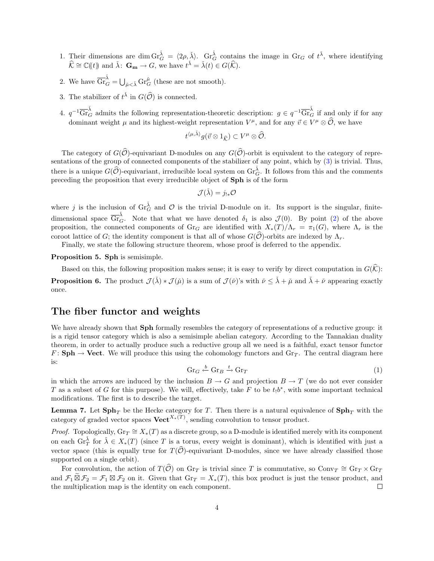- <span id="page-3-2"></span>1. Their dimensions are dim  $\operatorname{Gr}_{G}^{\check{\lambda}} = \langle 2\rho, \check{\lambda} \rangle$ .  $\operatorname{Gr}_{G}^{\check{\lambda}}$  contains the image in  $\operatorname{Gr}_{G}$  of  $t^{\check{\lambda}}$ , where identifying  $\widehat{\mathcal{K}} \cong \mathbb{C}(\!(t)\!)$  and  $\check{\lambda}: \mathbf{G_m} \to G$ , we have  $t^{\check{\lambda}} = \check{\lambda}(t) \in G(\widehat{\mathcal{K}}).$
- <span id="page-3-1"></span>2. We have  $\overline{\mathrm{Gr}}_G^{\check{\lambda}} = \bigcup_{\check{\mu} < \check{\lambda}} \mathrm{Gr}_G^{\check{\mu}}$  (these are not smooth).
- <span id="page-3-0"></span>3. The stabilizer of  $t^{\check{\lambda}}$  in  $G(\widehat{\mathcal{O}})$  is connected.
- <span id="page-3-7"></span>4.  $q^{-1}\overline{\mathrm{Gr}}_G^{\check{\lambda}}$  admits the following representation-theoretic description:  $g \in q^{-1}\overline{\mathrm{Gr}}_G^{\check{\lambda}}$  if and only if for any dominant weight  $\mu$  and its highest-weight representation  $V^{\mu}$ , and for any  $\vec{v} \in V^{\mu} \otimes \hat{O}$ , we have

$$
t^{\langle \mu, \check{\lambda} \rangle} g(\vec{v} \otimes 1_{\widehat{\mathcal{K}}}) \subset V^{\mu} \otimes \widehat{\mathcal{O}}.
$$

The category of  $G(\hat{O})$ -equivariant D-modules on any  $G(\hat{O})$ -orbit is equivalent to the category of representations of the group of connected components of the stabilizer of any point, which by [\(3\)](#page-3-0) is trivial. Thus, there is a unique  $G(\hat{O})$ -equivariant, irreducible local system on  $\operatorname{Gr}_{G}^{\tilde{\lambda}}$ . It follows from this and the comments preceding the proposition that every irreducible object of Sph is of the form

$$
\mathcal{J}(\check{\lambda}) = j_{!*}{\mathcal O}
$$

where j is the inclusion of  $\text{Gr}_G^{\tilde{\lambda}}$  and  $\mathcal O$  is the trivial D-module on it. Its support is the singular, finitedimensional space  $\overline{\mathrm{Gr}}_G^{\check{\lambda}}$ . Note that what we have denoted  $\delta_1$  is also  $\mathcal{J}(0)$ . By point [\(2\)](#page-3-1) of the above proposition, the connected components of Gr<sub>G</sub> are identified with  $X_*(T)/\Lambda_r = \pi_1(G)$ , where  $\Lambda_r$  is the coroot lattice of G; the identity component is that all of whose  $G(\hat{O})$ -orbits are indexed by  $\Lambda_r$ .

Finally, we state the following structure theorem, whose proof is deferred to the appendix.

<span id="page-3-4"></span>Proposition 5. Sph is semisimple.

<span id="page-3-6"></span>Based on this, the following proposition makes sense; it is easy to verify by direct computation in  $G(\widehat{K})$ : **Proposition 6.** The product  $\mathcal{J}(\check{\lambda}) * \mathcal{J}(\check{\mu})$  is a sum of  $\mathcal{J}(\check{\nu})$ 's with  $\check{\nu} \leq \check{\lambda} + \check{\mu}$  and  $\check{\lambda} + \check{\nu}$  appearing exactly once.

# The fiber functor and weights

We have already shown that **Sph** formally resembles the category of representations of a reductive group: it is a rigid tensor category which is also a semisimple abelian category. According to the Tannakian duality theorem, in order to actually produce such a reductive group all we need is a faithful, exact tensor functor  $F: \mathbf{Sph} \to \mathbf{Vect}$ . We will produce this using the cohomology functors and  $\mathrm{Gr}_{T}$ . The central diagram here is:

<span id="page-3-3"></span>
$$
Gr_G \xleftarrow{b} Gr_B \xrightarrow{t} Gr_T \tag{1}
$$

in which the arrows are induced by the inclusion  $B \to G$  and projection  $B \to T$  (we do not ever consider T as a subset of G for this purpose). We will, effectively, take F to be  $t_1b^*$ , with some important technical modifications. The first is to describe the target.

<span id="page-3-5"></span>**Lemma 7.** Let  $\text{Sph}_T$  be the Hecke category for T. Then there is a natural equivalence of  $\text{Sph}_T$  with the category of graded vector spaces  $\text{Vect}^{X_*(T)}$ , sending convolution to tensor product.

*Proof.* Topologically,  $\text{Gr}_T \cong X_*(T)$  as a discrete group, so a D-module is identified merely with its component on each  $\operatorname{Gr}_{T}^{\check{\lambda}}$  for  $\check{\lambda} \in X_*(T)$  (since T is a torus, every weight is dominant), which is identified with just a vector space (this is equally true for  $T(\widehat{O})$ -equivariant D-modules, since we have already classified those supported on a single orbit).

For convolution, the action of  $T(\widehat{\mathcal{O}})$  on  $\text{Gr}_{T}$  is trivial since T is commutative, so  $\text{Conv}_{T} \cong \text{Gr}_{T} \times \text{Gr}_{T}$ and  $\mathcal{F}_1 \boxtimes \mathcal{F}_2 = \mathcal{F}_1 \boxtimes \mathcal{F}_2$  on it. Given that  $\text{Gr}_T = X_*(T)$ , this box product is just the tensor product, and the multiplication map is the identity on each component.  $\Box$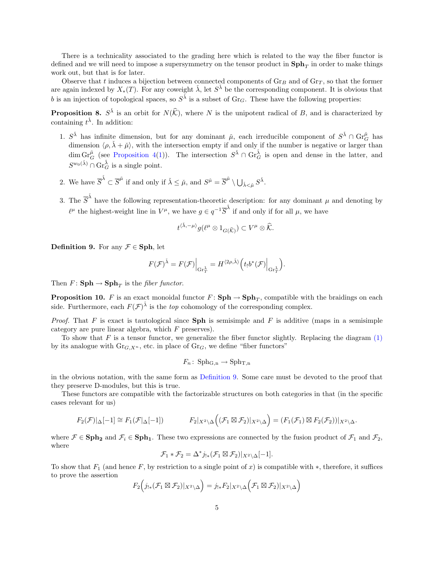There is a technicality associated to the grading here which is related to the way the fiber functor is defined and we will need to impose a supersymmetry on the tensor product in  $\text{Sph}_T$  in order to make things work out, but that is for later.

Observe that t induces a bijection between connected components of  $\mathrm{Gr}_B$  and of  $\mathrm{Gr}_T$ , so that the former are again indexed by  $X_*(T)$ . For any coweight  $\check{\lambda}$ , let  $S^{\check{\lambda}}$  be the corresponding component. It is obvious that b is an injection of topological spaces, so  $S^{\tilde{\lambda}}$  is a subset of Gr<sub>G</sub>. These have the following properties:

<span id="page-4-1"></span>**Proposition 8.**  $S^{\lambda}$  is an orbit for  $N(\widehat{K})$ , where N is the unipotent radical of B, and is characterized by containing  $t^{\check{\lambda}}$ . In addition:

- <span id="page-4-2"></span>1.  $S^{\check{\lambda}}$  has infinite dimension, but for any dominant  $\check{\mu}$ , each irreducible component of  $S^{\check{\lambda}} \cap \text{Gr}_{G}^{\check{\mu}}$  has dimension  $\langle \rho, \check{\lambda} + \check{\mu} \rangle$ , with the intersection empty if and only if the number is negative or larger than  $\dim \mathrm{Gr}_{G}^{\mu}$  (see [Proposition 4\(](#page-2-0)[1\)](#page-3-2)). The intersection  $S^{\check{\lambda}} \cap \mathrm{Gr}_{G}^{\check{\lambda}}$  is open and dense in the latter, and  $S^{w_0(\check{\lambda})} \cap \operatorname{Gr}_{G}^{\check{\lambda}}$  is a single point.
- 2. We have  $\overline{S}^{\tilde{\lambda}} \subset \overline{S}^{\tilde{\mu}}$  if and only if  $\tilde{\lambda} \leq \tilde{\mu}$ , and  $S^{\tilde{\mu}} = \overline{S}^{\tilde{\mu}} \setminus \bigcup_{\tilde{\lambda} < \tilde{\mu}} S^{\tilde{\lambda}}$ .
- 3. The  $\overline{S}^{\tilde{\lambda}}$  have the following representation-theoretic description: for any dominant  $\mu$  and denoting by  $\ell^{\mu}$  the highest-weight line in  $V^{\mu}$ , we have  $g \in q^{-1} \overline{S}^{\lambda}$  if and only if for all  $\mu$ , we have

$$
t^{\langle \check{\lambda}, -\mu \rangle} g(\ell^{\mu} \otimes 1_{G(\widehat{\mathcal{K}})}) \subset V^{\mu} \otimes \widehat{\mathcal{K}}.
$$

<span id="page-4-0"></span>**Definition 9.** For any  $\mathcal{F} \in \mathbf{Sph}$ , let

$$
F(\mathcal{F})^{\check{\lambda}} = F(\mathcal{F})\Big|_{\mathrm{Gr}^{\check{\lambda}}_{T}} = H^{\langle 2\rho,\check{\lambda}\rangle}\Big(t_!b^*(\mathcal{F})\Big|_{\mathrm{Gr}^{\check{\lambda}}_{T}}\Big).
$$

Then  $F: \mathbf{Sph} \to \mathbf{Sph}_T$  is the *fiber functor*.

**Proposition 10.** F is an exact monoidal functor  $F: \textbf{Sph} \to \textbf{Sph}_T$ , compatible with the braidings on each side. Furthermore, each  $F(\mathcal{F})^{\check{\lambda}}$  is the *top* cohomology of the corresponding complex.

*Proof.* That F is exact is tautological since **Sph** is semisimple and F is additive (maps in a semisimple category are pure linear algebra, which F preserves).

To show that  $F$  is a tensor functor, we generalize the fiber functor slightly. Replacing the diagram  $(1)$ by its analogue with  $\text{Gr}_{G,X^n}$ , etc. in place of  $\text{Gr}_G$ , we define "fiber functors"

$$
F_n\colon \operatorname{Sph}_{G,n}\to \operatorname{Sph}_{T,n}
$$

in the obvious notation, with the same form as [Definition 9.](#page-4-0) Some care must be devoted to the proof that they preserve D-modules, but this is true.

These functors are compatible with the factorizable structures on both categories in that (in the specific cases relevant for us)

$$
F_2(\mathcal{F})|_{\Delta}[-1] \cong F_1(\mathcal{F}|\Delta[-1]) \qquad F_2|_{X^2 \setminus \Delta}\Big((\mathcal{F}_1 \boxtimes \mathcal{F}_2)|_{X^2 \setminus \Delta}\Big) = (F_1(\mathcal{F}_1) \boxtimes F_2(\mathcal{F}_2))|_{X^2 \setminus \Delta}.
$$

where  $\mathcal{F} \in \mathbf{Sph}_2$  and  $\mathcal{F}_i \in \mathbf{Sph}_1$ . These two expressions are connected by the fusion product of  $\mathcal{F}_1$  and  $\mathcal{F}_2$ , where

$$
\mathcal{F}_1 * \mathcal{F}_2 = \Delta^* j_{!*}(\mathcal{F}_1 \boxtimes \mathcal{F}_2)|_{X^2 \setminus \Delta}[-1].
$$

To show that  $F_1$  (and hence F, by restriction to a single point of x) is compatible with \*, therefore, it suffices to prove the assertion

$$
F_2\Big(j_{!*}(\mathcal{F}_1 \boxtimes \mathcal{F}_2)|_{X^2 \setminus \Delta}\Big) = j_{!*}F_2|_{X^2 \setminus \Delta}\Big(\mathcal{F}_1 \boxtimes \mathcal{F}_2)|_{X^2 \setminus \Delta}\Big)
$$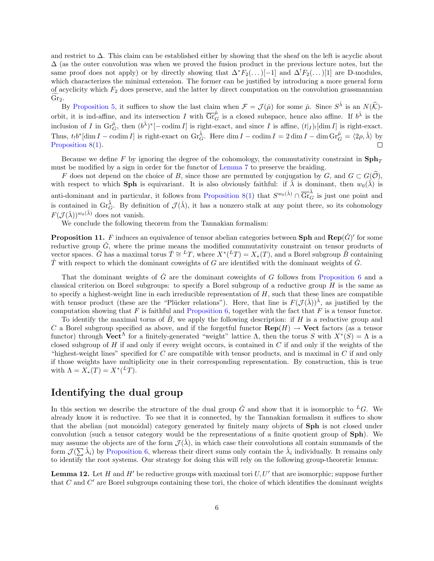and restrict to ∆. This claim can be established either by showing that the sheaf on the left is acyclic about  $\Delta$  (as the outer convolution was when we proved the fusion product in the previous lecture notes, but the same proof does not apply) or by directly showing that  $\Delta^*F_2(\ldots)[-1]$  and  $\Delta^*F_2(\ldots)[1]$  are D-modules, which characterizes the minimal extension. The former can be justified by introducing a more general form of acyclicity which  $F_2$  does preserve, and the latter by direct computation on the convolution grassmannian  $\mathrm{Gr}_2$ .

By [Proposition 5,](#page-3-4) it suffices to show the last claim when  $\mathcal{F} = \mathcal{J}(\check{\mu})$  for some  $\check{\mu}$ . Since  $S^{\check{\lambda}}$  is an  $N(\hat{\mathcal{K}})$ orbit, it is ind-affine, and its intersection I with  $\overline{\text{Gr}}_G^{\mu}$  is a closed subspace, hence also affine. If  $b^{\check{\lambda}}$  is the inclusion of I in  $\text{Gr}_G^{\tilde{\mu}}$ , then  $(b^{\tilde{\lambda}})^*[-\text{codim } I]$  is right-exact, and since I is affine,  $(t|_I)_![\text{dim } I]$  is right-exact. Thus,  $t_1b^*[\dim I - \operatorname{codim} I]$  is right-exact on  $\operatorname{Gr}_G^{\check{\lambda}}$ . Here  $\dim I - \operatorname{codim} I = 2 \dim I - \dim \operatorname{Gr}_G^{\check{\mu}} = \langle 2\rho, \check{\lambda} \rangle$  by [Proposition 8\(](#page-4-1)[1\)](#page-4-2).

Because we define F by ignoring the degree of the cohomology, the commutativity constraint in  $\text{Sph}_T$ must be modified by a sign in order for the functor of [Lemma 7](#page-3-5) to preserve the braiding.

F does not depend on the choice of B, since those are permuted by conjugation by G, and  $G \subset G(\hat{\mathcal{O}})$ , with respect to which Sph is equivariant. It is also obviously faithful: if  $\check{\lambda}$  is dominant, then  $w_0(\check{\lambda})$  is anti-dominant and in particular, it follows from [Proposition 8\(](#page-4-1)[1\)](#page-4-2) that  $S^{w_0(\lambda)} \cap \overline{\text{Gr}}_G^{\lambda}$  is just one point and is contained in  $\operatorname{Gr}_{G}^{\check{\lambda}}$ . By definition of  $\mathcal{J}(\check{\lambda})$ , it has a nonzero stalk at any point there, so its cohomology  $F(\mathcal{J}(\check{\lambda}))^{w_0(\check{\lambda})}$  does not vanish.

We conclude the following theorem from the Tannakian formalism:

<span id="page-5-1"></span>**Proposition 11.** F induces an equivalence of tensor abelian categories between Sph and  $\text{Rep}(\check{G})'$  for some reductive group  $\tilde{G}$ , where the prime means the modified commutativity constraint on tensor products of vector spaces.  $\check{G}$  has a maximal torus  $\check{T} \cong {}^L T$ , where  $X^*({}^L T) = X_*(T)$ , and a Borel subgroup  $\check{B}$  containing  $\check{T}$  with respect to which the dominant coweights of G are identified with the dominant weights of  $\check{G}$ .

That the dominant weights of  $\tilde{G}$  are the dominant coweights of  $G$  follows from [Proposition 6](#page-3-6) and a classical criterion on Borel subgroups: to specify a Borel subgroup of a reductive group  $H$  is the same as to specify a highest-weight line in each irreducible representation of  $H$ , such that these lines are compatible with tensor product (these are the "Plücker relations"). Here, that line is  $F(\mathcal{J}(\lambda))^{\lambda}$ , as justified by the computation showing that  $F$  is faithful and [Proposition 6,](#page-3-6) together with the fact that  $F$  is a tensor functor.

To identify the maximal torus of  $\hat{B}$ , we apply the following description: if H is a reductive group and C a Borel subgroup specified as above, and if the forgetful functor  $\mathbf{Rep}(H) \to \mathbf{Vect}$  factors (as a tensor functor) through  $\mathbf{Vect}^{\Lambda}$  for a finitely-generated "weight" lattice  $\Lambda$ , then the torus S with  $X^*(S) = \Lambda$  is a closed subgroup of  $H$  if and only if every weight occurs, is contained in  $C$  if and only if the weights of the "highest-weight lines" specified for  $C$  are compatible with tensor products, and is maximal in  $C$  if and only if those weights have multiplicity one in their corresponding representation. By construction, this is true with  $\Lambda = X_*(T) = X^*({}^L T).$ 

### Identifying the dual group

In this section we describe the structure of the dual group  $\check{G}$  and show that it is isomorphic to <sup>L</sup>G. We already know it is reductive. To see that it is connected, by the Tannakian formalism it suffices to show that the abelian (not monoidal) category generated by finitely many objects of Sph is not closed under convolution (such a tensor category would be the representations of a finite quotient group of Sph). We may assume the objects are of the form  $\mathcal{J}(\lambda)$ , in which case their convolutions all contain summands of the form  $\mathcal{J}(\sum \tilde{\lambda}_i)$  by [Proposition 6,](#page-3-6) whereas their direct sums only contain the  $\tilde{\lambda}_i$  individually. It remains only to identify the root systems. Our strategy for doing this will rely on the following group-theoretic lemma:

<span id="page-5-0"></span>**Lemma 12.** Let H and H' be reductive groups with maximal tori  $U, U'$  that are isomorphic; suppose further that  $C$  and  $C'$  are Borel subgroups containing these tori, the choice of which identifies the dominant weights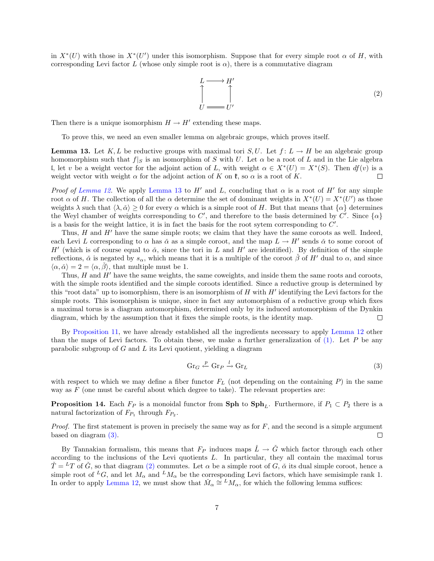in  $X^*(U)$  with those in  $X^*(U')$  under this isomorphism. Suppose that for every simple root  $\alpha$  of H, with corresponding Levi factor L (whose only simple root is  $\alpha$ ), there is a commutative diagram

<span id="page-6-2"></span>
$$
L \longrightarrow H'
$$
  
\n
$$
U \longrightarrow U'
$$
 (2)

Then there is a unique isomorphism  $H \to H'$  extending these maps.

To prove this, we need an even smaller lemma on algebraic groups, which proves itself.

<span id="page-6-0"></span>**Lemma 13.** Let K, L be reductive groups with maximal tori  $S, U$ . Let  $f: L \to H$  be an algebraic group homomorphism such that  $f|_S$  is an isomorphism of S with U. Let  $\alpha$  be a root of L and in the Lie algebra I, let v be a weight vector for the adjoint action of L, with weight  $\alpha \in X^*(U) = X^*(S)$ . Then  $df(v)$  is a weight vector with weight  $\alpha$  for the adjoint action of K on  $\mathfrak{k}$ , so  $\alpha$  is a root of K.  $\Box$ 

Proof of [Lemma 12.](#page-5-0) We apply [Lemma 13](#page-6-0) to H' and L, concluding that  $\alpha$  is a root of H' for any simple root  $\alpha$  of H. The collection of all the  $\alpha$  determine the set of dominant weights in  $X^*(U) = X^*(U')$  as those weights  $\lambda$  such that  $\langle \lambda, \check{\alpha} \rangle \geq 0$  for every  $\alpha$  which is a simple root of H. But that means that  $\{\alpha\}$  determines the Weyl chamber of weights corresponding to C', and therefore to the basis determined by C'. Since  $\{\alpha\}$ is a basis for the weight lattice, it is in fact the basis for the root sytem corresponding to  $C'$ .

Thus,  $H$  and  $H'$  have the same simple roots; we claim that they have the same coroots as well. Indeed, each Levi L corresponding to  $\alpha$  has  $\check{\alpha}$  as a simple coroot, and the map  $L \to H'$  sends  $\check{\alpha}$  to some coroot of H' (which is of course equal to  $\check{\alpha}$ , since the tori in L and H' are identified). By definition of the simple reflections,  $\check{\alpha}$  is negated by  $s_{\alpha}$ , which means that it is a multiple of the coroot  $\check{\beta}$  of H' dual to  $\alpha$ , and since  $\langle \alpha, \check{\alpha} \rangle = 2 = \langle \alpha, \beta \rangle$ , that multiple must be 1.

Thus,  $H$  and  $H'$  have the same weights, the same coweights, and inside them the same roots and coroots, with the simple roots identified and the simple coroots identified. Since a reductive group is determined by this "root data" up to isomorphism, there is an isomorphism of  $H$  with  $H'$  identifying the Levi factors for the simple roots. This isomorphism is unique, since in fact any automorphism of a reductive group which fixes a maximal torus is a diagram automorphism, determined only by its induced automorphism of the Dynkin diagram, which by the assumption that it fixes the simple roots, is the identity map.  $\Box$ 

By [Proposition 11,](#page-5-1) we have already established all the ingredients necessary to apply [Lemma 12](#page-5-0) other than the maps of Levi factors. To obtain these, we make a further generalization of  $(1)$ . Let P be any parabolic subgroup of  $G$  and  $L$  its Levi quotient, yielding a diagram

<span id="page-6-1"></span>
$$
\operatorname{Gr}_G \xleftarrow{P} \operatorname{Gr}_P \xrightarrow{l} \operatorname{Gr}_L \tag{3}
$$

with respect to which we may define a fiber functor  $F<sub>L</sub>$  (not depending on the containing P) in the same way as  $F$  (one must be careful about which degree to take). The relevant properties are:

**Proposition 14.** Each  $F_P$  is a monoidal functor from **Sph** to  $\text{Sph}_L$ . Furthermore, if  $P_1 \subset P_2$  there is a natural factorization of  $F_{P_1}$  through  $F_{P_2}$ .

*Proof.* The first statement is proven in precisely the same way as for  $F$ , and the second is a simple argument based on diagram [\(3\).](#page-6-1)  $\Box$ 

By Tannakian formalism, this means that  $F_P$  induces maps  $\check{L} \to \check{G}$  which factor through each other according to the inclusions of the Levi quotients L. In particular, they all contain the maximal torus  $\tilde{T} = {}^{L}T$  of  $\tilde{G}$ , so that diagram [\(2\)](#page-6-2) commutes. Let  $\alpha$  be a simple root of  $G$ ,  $\tilde{\alpha}$  its dual simple coroot, hence a simple root of <sup>L</sup>G, and let  $M_{\alpha}$  and <sup>L</sup> $M_{\alpha}$  be the corresponding Levi factors, which have semisimple rank 1. In order to apply [Lemma 12,](#page-5-0) we must show that  $\check{M}_{\alpha} \cong {}^{L}M_{\alpha}$ , for which the following lemma suffices: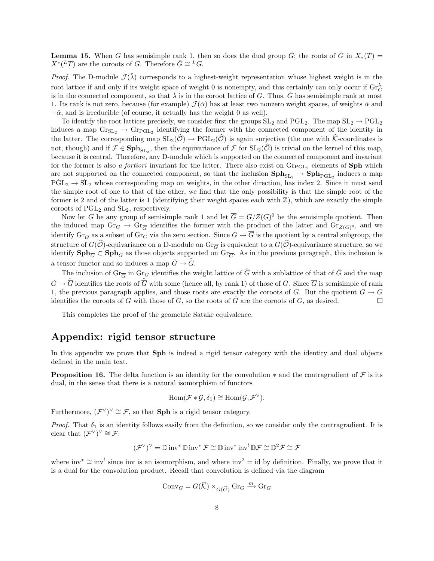**Lemma 15.** When G has semisimple rank 1, then so does the dual group  $\check{G}$ ; the roots of  $\check{G}$  in  $X_*(T)$  =  $X^*({}^L T)$  are the coroots of G. Therefore  $\check{G} \cong {}^L G$ .

*Proof.* The D-module  $\mathcal{J}(\lambda)$  corresponds to a highest-weight representation whose highest weight is in the root lattice if and only if its weight space of weight 0 is nonempty, and this certainly can only occur if  $\text{Gr}_G^{\check{\lambda}}$ is in the connected component, so that  $\lambda$  is in the coroot lattice of G. Thus,  $\check{G}$  has semisimple rank at most 1. Its rank is not zero, because (for example)  $\mathcal{J}(\tilde{\alpha})$  has at least two nonzero weight spaces, of weights  $\tilde{\alpha}$  and  $-\check{\alpha}$ , and is irreducible (of course, it actually has the weight 0 as well).

To identify the root lattices precisely, we consider first the groups  $SL_2$  and  $PGL_2$ . The map  $SL_2 \to PGL_2$ induces a map  $\text{Gr}_{SL_2} \to \text{Gr}_{PGL_2}$  identifying the former with the connected component of the identity in the latter. The corresponding map  $SL_2(\hat{\mathcal{O}}) \to \text{PGL}_2(\hat{\mathcal{O}})$  is again surjective (the one with  $\hat{\mathcal{K}}$ -coordinates is not, though) and if  $\mathcal{F} \in \mathbf{Sph}_{SL_2}$ , then the equivariance of  $\mathcal{F}$  for  $SL_2(\mathcal{O})$  is trivial on the kernel of this map, because it is central. Therefore, any D-module which is supported on the connected component and invariant for the former is also a *fortiori* invariant for the latter. There also exist on  $\text{Gr}_{\text{PGL}_2}$  elements of **Sph** which are not supported on the connected component, so that the inclusion  $\text{Sph}_{\text{SL}_2} \to \text{Sph}_{\text{PGL}_2}$  induces a map  $\tilde{\mathrm{PGL}}_2 \to \tilde{\mathrm{SL}}_2$  whose corresponding map on weights, in the other direction, has index 2. Since it must send the simple root of one to that of the other, we find that the only possibility is that the simple root of the former is 2 and of the latter is 1 (identifying their weight spaces each with  $\mathbb{Z}$ ), which are exactly the simple coroots of  $PGL_2$  and  $SL_2$ , respectively.

Now let G be any group of semisimple rank 1 and let  $\overline{G} = G/Z(G)^{0}$  be the semisimple quotient. Then the induced map  $\text{Gr}_G \to \text{Gr}_{\overline{G}}$  identifies the former with the product of the latter and  $\text{Gr}_{Z(G)^0}$ , and we identify  $\text{Gr}_{\overline{G}}$  as a subset of  $\text{Gr}_G$  via the zero section. Since  $G \to \overline{G}$  is the quotient by a central subgroup, the structure of  $\overline{G}(\widehat{\mathcal{O}})$ -equivariance on a D-module on  $\text{Gr}_{\overline{G}}$  is equivalent to a  $G(\widehat{\mathcal{O}})$ -equivariance structure, so we identify  $\text{Sph}_{\overline{G}} \subset \text{Sph}_G$  as those objects supported on  $\text{Gr}_{\overline{G}}$ . As in the previous paragraph, this inclusion is a tensor functor and so induces a map  $\check{G} \to \overline{G}$ .

The inclusion of  $\text{Gr}_{\overline{G}}$  in  $\text{Gr}_{G}$  identifies the weight lattice of  $\overline{G}$  with a sublattice of that of  $\check{G}$  and the map  $\check{G} \to \overline{G}$  identifies the roots of  $\overline{G}$  with some (hence all, by rank 1) of those of  $\check{G}$ . Since  $\overline{G}$  is semisimple of rank 1, the previous paragraph applies, and those roots are exactly the coroots of  $\overline{G}$ . But the quotient  $G \to \overline{G}$ identifies the coroots of G with those of  $\overline{G}$ , so the roots of  $\check{G}$  are the coroots of G, as desired.  $\Box$ 

This completes the proof of the geometric Satake equivalence.

# Appendix: rigid tensor structure

In this appendix we prove that Sph is indeed a rigid tensor category with the identity and dual objects defined in the main text.

**Proposition 16.** The delta function is an identity for the convolution  $*$  and the contragradient of  $\mathcal F$  is its dual, in the sense that there is a natural isomorphism of functors

$$
\operatorname{Hom}(\mathcal{F} * \mathcal{G}, \delta_1) \cong \operatorname{Hom}(\mathcal{G}, \mathcal{F}^{\vee}).
$$

Furthermore,  $(\mathcal{F}^{\vee})^{\vee} \cong \mathcal{F}$ , so that **Sph** is a rigid tensor category.

Proof. That  $\delta_1$  is an identity follows easily from the definition, so we consider only the contragradient. It is clear that  $(\mathcal{F}^{\vee})^{\vee} \cong \mathcal{F}$ :

$$
(\mathcal{F}^{\vee})^{\vee} = \mathbb{D} \operatorname{inv}^* \mathbb{D} \operatorname{inv}^* \mathcal{F} \cong \mathbb{D} \operatorname{inv}^* \operatorname{inv}^! \mathbb{D} \mathcal{F} \cong \mathbb{D}^2 \mathcal{F} \cong \mathcal{F}
$$

where inv<sup>\*</sup>  $\cong$  inv<sup>!</sup> since inv is an isomorphism, and where inv<sup>2</sup> = id by definition. Finally, we prove that it is a dual for the convolution product. Recall that convolution is defined via the diagram

$$
\mathrm{Conv}_G = G(\widehat{\mathcal{K}}) \times_{G(\widehat{\mathcal{O}})} \mathrm{Gr}_G \xrightarrow{\overline{m}} \mathrm{Gr}_G
$$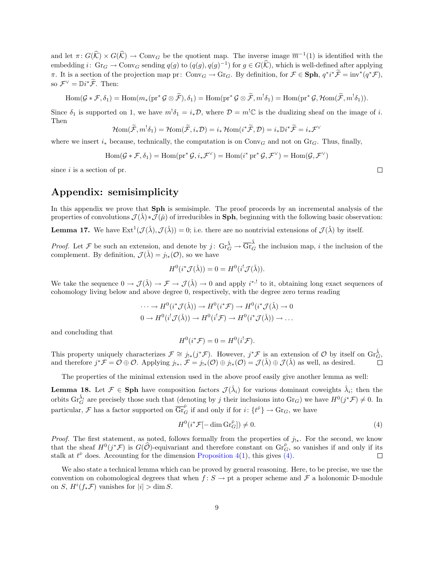and let  $\pi: G(\widehat{\mathcal{K}}) \times G(\widehat{\mathcal{K}}) \to \text{Conv}_G$  be the quotient map. The inverse image  $\overline{m}^{-1}(1)$  is identified with the embedding  $i: \text{ Gr}_G \to \text{Conv}_G$  sending  $q(g)$  to  $(q(g), q(g)^{-1})$  for  $g \in G(\widehat{K})$ , which is well-defined after applying  $\pi$ . It is a section of the projection map pr: Conv<sub>G</sub>  $\rightarrow$  Gr<sub>G</sub>. By definition, for  $\mathcal{F} \in \mathbf{Sph}$ ,  $q^*i^*\tilde{\mathcal{F}} = inv^*(q^*\mathcal{F})$ , so  $\mathcal{F}^{\vee} = \mathbb{D}i^*\widetilde{\mathcal{F}}$ . Then:

$$
\operatorname{Hom}(\mathcal{G} * \mathcal{F}, \delta_1) = \operatorname{Hom}(m_*(\operatorname{pr}^* \mathcal{G} \otimes \widetilde{\mathcal{F}}), \delta_1) = \operatorname{Hom}(\operatorname{pr}^* \mathcal{G} \otimes \widetilde{\mathcal{F}}, m^! \delta_1) = \operatorname{Hom}(\operatorname{pr}^* \mathcal{G}, \mathcal{H}om(\widetilde{\mathcal{F}}, m^! \delta_1)).
$$

Since  $\delta_1$  is supported on 1, we have  $m^{\dagger} \delta_1 = i_* \mathcal{D}$ , where  $\mathcal{D} = m^{\dagger} \mathbb{C}$  is the dualizing sheaf on the image of i. Then

$$
\mathcal{H}om(\widetilde{\mathcal{F}},m^!\delta_1)=\mathcal{H}om(\widetilde{\mathcal{F}},i_*\mathcal{D})=i_*\mathcal{H}om(i^*\widetilde{\mathcal{F}},\mathcal{D})=i_*\mathbb{D}i^*\widetilde{\mathcal{F}}=i_*\mathcal{F}^{\vee}
$$

where we insert  $i_*$  because, technically, the computation is on Conv<sub>G</sub> and not on Gr<sub>G</sub>. Thus, finally,

$$
\operatorname{Hom}(\mathcal{G} * \mathcal{F}, \delta_1) = \operatorname{Hom}(\operatorname{pr}^* \mathcal{G}, i_* \mathcal{F}^{\vee}) = \operatorname{Hom}(i^* \operatorname{pr}^* \mathcal{G}, \mathcal{F}^{\vee}) = \operatorname{Hom}(\mathcal{G}, \mathcal{F}^{\vee})
$$

since  $i$  is a section of pr.

# Appendix: semisimplicity

In this appendix we prove that **Sph** is semisimple. The proof proceeds by an incremental analysis of the properties of convolutions  $\mathcal{J}(\lambda) * \mathcal{J}(\tilde{\mu})$  of irreducibles in **Sph**, beginning with the following basic observation:

<span id="page-8-3"></span>**Lemma 17.** We have  $\text{Ext}^1(\mathcal{J}(\lambda), \mathcal{J}(\lambda)) = 0$ ; i.e. there are no nontrivial extensions of  $\mathcal{J}(\lambda)$  by itself.

*Proof.* Let F be such an extension, and denote by  $j: Gr_G^{\tilde{\lambda}} \to \overline{Gr}_G^{\tilde{\lambda}}$  the inclusion map, i the inclusion of the complement. By definition,  $\mathcal{J}(\lambda) = j_{!*}(\mathcal{O})$ , so we have

$$
H^0(i^* \mathcal{J}(\check{\lambda})) = 0 = H^0(i^! \mathcal{J}(\check{\lambda})).
$$

We take the sequence  $0 \to \mathcal{J}(\check{\lambda}) \to \mathcal{F} \to \mathcal{J}(\check{\lambda}) \to 0$  and apply  $i^{*,!}$  to it, obtaining long exact sequences of cohomology living below and above degree 0, respectively, with the degree zero terms reading

$$
\cdots \to H^0(i^* \mathcal{J}(\check{\lambda})) \to H^0(i^* \mathcal{F}) \to H^0(i^* \mathcal{J}(\check{\lambda}) \to 0
$$
  

$$
0 \to H^0(i^! \mathcal{J}(\check{\lambda})) \to H^0(i^! \mathcal{F}) \to H^0(i^* \mathcal{J}(\check{\lambda})) \to \dots
$$

and concluding that

$$
H^0(i^*\mathcal{F}) = 0 = H^0(i^!\mathcal{F}).
$$

This property uniquely characterizes  $\mathcal{F} \cong j_{!*}(j^*\mathcal{F})$ . However,  $j^*\mathcal{F}$  is an extension of  $\mathcal{O}$  by itself on  $\operatorname{Gr}_G^{\check{\lambda}}$ . and therefore  $j^*\mathcal{F} = \mathcal{O} \oplus \mathcal{O}$ . Applying  $j_{!*}, \mathcal{F} = j_{!*}(\mathcal{O}) \oplus j_{!*}(\mathcal{O}) = \mathcal{J}(\lambda) \oplus \mathcal{J}(\lambda)$  as well, as desired.

The properties of the minimal extension used in the above proof easily give another lemma as well:

<span id="page-8-2"></span>**Lemma 18.** Let  $\mathcal{F} \in$  Sph have composition factors  $\mathcal{J}(\check{\lambda}_i)$  for various dominant coweights  $\check{\lambda}_i$ ; then the orbits  $\operatorname{Gr}_G^{\tilde{\lambda}_i}$  are precisely those such that (denoting by j their inclusions into  $\operatorname{Gr}_G$ ) we have  $H^0(j^*\mathcal{F}) \neq 0$ . In particular, F has a factor supported on  $\overline{\text{Gr}}_G^{\check{\nu}}$  if and only if for  $i: \{t^{\check{\nu}}\} \to \text{Gr}_G$ , we have

<span id="page-8-0"></span>
$$
H^0(i^*\mathcal{F}[-\dim \mathrm{Gr}_G^{\check{\nu}}]) \neq 0. \tag{4}
$$

*Proof.* The first statement, as noted, follows formally from the properties of  $j_{!*}$ . For the second, we know that the sheaf  $H^0(j^*\mathcal{F})$  is  $G(\widehat{\mathcal{O}})$ -equivariant and therefore constant on  $\operatorname{Gr}_{G}^{\nu}$ , so vanishes if and only if its stalk at  $t^{\check{\nu}}$  does. Accounting for the dimension [Proposition 4\(](#page-2-0)[1\)](#page-3-2), this gives [\(4\).](#page-8-0)

<span id="page-8-1"></span>We also state a technical lemma which can be proved by general reasoning. Here, to be precise, we use the convention on cohomological degrees that when  $f: S \to \text{pt}$  a proper scheme and  $\mathcal F$  a holonomic D-module on S,  $H^{i}(f_*\mathcal{F})$  vanishes for  $|i| > \dim S$ .

 $\Box$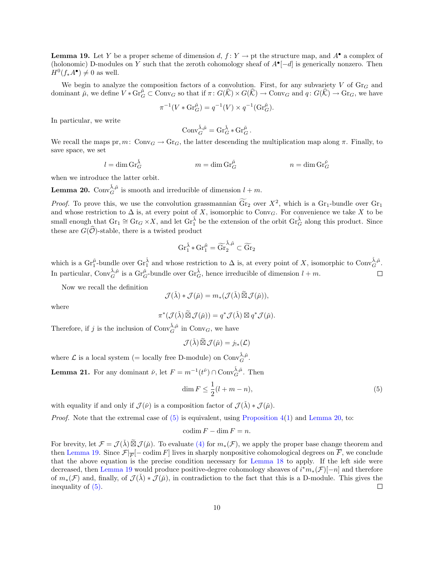**Lemma 19.** Let Y be a proper scheme of dimension d,  $f: Y \to \text{pt}$  the structure map, and  $A^{\bullet}$  a complex of (holonomic) D-modules on Y such that the zeroth cohomology sheaf of  $A^{\bullet}[-d]$  is generically nonzero. Then  $H^0(f_*A^{\bullet}) \neq 0$  as well.

We begin to analyze the composition factors of a convolution. First, for any subvariety  $V$  of  $\text{Gr}_G$  and dominant  $\mu$ , we define  $V * \mathrm{Gr}_{G}^{\mu} \subset \mathrm{Conv}_{G}$  so that if  $\pi \colon G(\widehat{K}) \to \mathrm{Conv}_{G}$  and  $q \colon G(\widehat{K}) \to \mathrm{Gr}_{G}$ , we have

$$
\pi^{-1}(V * \text{Gr}_{G}^{\check{\mu}}) = q^{-1}(V) \times q^{-1}(\text{Gr}_{G}^{\check{\mu}}).
$$

In particular, we write

$$
\mathrm{Conv}_G^{\check\lambda,\check\mu}=\mathrm{Gr}_G^{\check\lambda}*\mathrm{Gr}_G^{\check\mu}\,.
$$

We recall the maps pr,  $m: \text{Conv}_G \to \text{Gr}_G$ , the latter descending the multiplication map along  $\pi$ . Finally, to save space, we set

$$
l = \dim \mathrm{Gr}_G^{\check{\lambda}} \qquad \qquad m = \dim \mathrm{Gr}_G^{\check{\mu}} \qquad \qquad n = \dim \mathrm{Gr}_G^{\check{\nu}}
$$

when we introduce the latter orbit.

<span id="page-9-1"></span>**Lemma 20.** Conv $_{G}^{\check{\lambda},\check{\mu}}$  is smooth and irreducible of dimension  $l+m$ .

*Proof.* To prove this, we use the convolution grassmannian  $\widetilde{\text{Gr}}_2$  over  $X^2$ , which is a  $\text{Gr}_1$ -bundle over  $\text{Gr}_1$ and whose restriction to  $\Delta$  is, at every point of X, isomorphic to Conv<sub>G</sub>. For convenience we take X to be small enough that  $\text{Gr}_1 \cong \text{Gr}_G \times X$ , and let  $\text{Gr}_1^{\check{\lambda}}$  be the extension of the orbit  $\text{Gr}_G^{\check{\lambda}}$  along this product. Since these are  $G(\widehat{\mathcal{O}})$ -stable, there is a twisted product

$$
\operatorname{Gr}_{1}^{\check{\lambda}}* \operatorname{Gr}_{1}^{\check{\mu}} = \widetilde{\operatorname{Gr}}_{2}^{\check{\lambda},\check{\mu}} \subset \widetilde{\operatorname{Gr}}_{2}
$$

which is a  $\text{Gr}_{1}^{\tilde{\mu}}$ -bundle over  $\text{Gr}_{1}^{\tilde{\lambda}}$  and whose restriction to  $\Delta$  is, at every point of X, isomorphic to  $\text{Conv}_{G}^{\tilde{\lambda},\tilde{\mu}}$ . In particular, Conv $\check{\lambda},\check{\mu}$  is a Gr ${}_{G}^{\check{\mu}}$ -bundle over Gr ${}_{G}^{\check{\lambda}}$ , hence irreducible of dimension  $l+m$ .  $\Box$ 

Now we recall the definition

$$
\mathcal{J}(\check{\lambda}) * \mathcal{J}(\check{\mu}) = m_* (\mathcal{J}(\check{\lambda}) \widetilde{\boxtimes} \mathcal{J}(\check{\mu})),
$$

where

$$
\pi^*(\mathcal{J}(\check{\lambda})\widetilde{\boxtimes}\mathcal{J}(\check{\mu}))=q^*\mathcal{J}(\check{\lambda})\boxtimes q^*\mathcal{J}(\check{\mu}).
$$

Therefore, if j is the inclusion of  $\text{Conv}_{G}^{\check{\lambda}, \check{\mu}}$  in  $\text{Conv}_{G}$ , we have

$$
\mathcal{J}(\check{\lambda})\widetilde{\boxtimes}\mathcal{J}(\check{\mu})=j_{!*}(\mathcal{L})
$$

where  $\mathcal L$  is a local system (= locally free D-module) on  $\text{Conv}_{G}^{\check{\lambda},\check{\mu}}$ .

<span id="page-9-2"></span>**Lemma 21.** For any dominant  $\check{\nu}$ , let  $F = m^{-1}(t^{\check{\nu}}) \cap \text{Conv}_{G}^{\check{\lambda}, \check{\mu}}$ . Then

<span id="page-9-0"></span>
$$
\dim F \le \frac{1}{2}(l+m-n),\tag{5}
$$

with equality if and only if  $\mathcal{J}(\check{\nu})$  is a composition factor of  $\mathcal{J}(\check{\lambda}) * \mathcal{J}(\check{\mu})$ .

*Proof.* Note that the extremal case of  $(5)$  is equivalent, using [Proposition 4\(](#page-2-0)[1\)](#page-3-2) and [Lemma 20,](#page-9-1) to:

$$
\operatorname{codim} F - \dim F = n.
$$

For brevity, let  $\mathcal{F} = \mathcal{J}(\lambda) \widetilde{\boxtimes} \mathcal{J}(\mu)$ . To evaluate [\(4\)](#page-8-0) for  $m_*(\mathcal{F})$ , we apply the proper base change theorem and then [Lemma 19.](#page-8-1) Since  $\mathcal{F}|_{\overline{F}}[-\text{codim } F]$  lives in sharply nonpositive cohomological degrees on  $\overline{F}$ , we conclude that the above equation is the precise condition necessary for [Lemma 18](#page-8-2) to apply. If the left side were decreased, then [Lemma 19](#page-8-1) would produce positive-degree cohomology sheaves of  $i^*m_*(\mathcal{F})[-n]$  and therefore of  $m_*(\mathcal{F})$  and, finally, of  $\mathcal{J}(\lambda) * \mathcal{J}(\mu)$ , in contradiction to the fact that this is a D-module. This gives the inequality of [\(5\).](#page-9-0)  $\Box$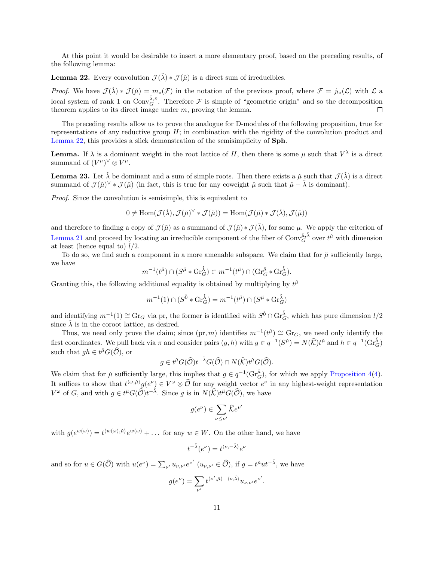At this point it would be desirable to insert a more elementary proof, based on the preceding results, of the following lemma:

<span id="page-10-0"></span>**Lemma 22.** Every convolution  $\mathcal{J}(\check{\lambda}) * \mathcal{J}(\check{\mu})$  is a direct sum of irreducibles.

*Proof.* We have  $\mathcal{J}(\check{\lambda}) * \mathcal{J}(\check{\mu}) = m_*(\mathcal{F})$  in the notation of the previous proof, where  $\mathcal{F} = j_{!*}(\mathcal{L})$  with  $\mathcal{L}$  a local system of rank 1 on Conv $\check{\lambda},\check{\nu}$ . Therefore  $\mathcal F$  is simple of "geometric origin" and so the decomposition theorem applies to its direct image under  $m$ , proving the lemma.

The preceding results allow us to prove the analogue for D-modules of the following proposition, true for representations of any reductive group  $H$ ; in combination with the rigidity of the convolution product and [Lemma 22,](#page-10-0) this provides a slick demonstration of the semisimplicity of Sph.

**Lemma.** If  $\lambda$  is a dominant weight in the root lattice of H, then there is some  $\mu$  such that  $V^{\lambda}$  is a direct summand of  $(V^{\mu})^{\vee} \otimes V^{\mu}$ .

<span id="page-10-1"></span>**Lemma 23.** Let  $\check{\lambda}$  be dominant and a sum of simple roots. Then there exists a  $\check{\mu}$  such that  $\mathcal{J}(\check{\lambda})$  is a direct summand of  $\mathcal{J}(\check{\mu})^{\vee} * \mathcal{J}(\check{\mu})$  (in fact, this is true for any coweight  $\check{\mu}$  such that  $\check{\mu} - \check{\lambda}$  is dominant).

Proof. Since the convolution is semisimple, this is equivalent to

$$
0 \neq \text{Hom}(\mathcal{J}(\check{\lambda}), \mathcal{J}(\check{\mu})^{\vee} * \mathcal{J}(\check{\mu})) = \text{Hom}(\mathcal{J}(\check{\mu}) * \mathcal{J}(\check{\lambda}), \mathcal{J}(\check{\mu}))
$$

and therefore to finding a copy of  $\mathcal{J}(\check{\mu})$  as a summand of  $\mathcal{J}(\check{\mu}) * \mathcal{J}(\check{\lambda})$ , for some  $\mu$ . We apply the criterion of [Lemma 21](#page-9-2) and proceed by locating an irreducible component of the fiber of  $\text{Conv}_{G}^{\tilde{\mu},\tilde{\lambda}}$  over  $t^{\tilde{\mu}}$  with dimension at least (hence equal to)  $l/2$ .

To do so, we find such a component in a more amenable subspace. We claim that for  $\check{\mu}$  sufficiently large, we have

$$
m^{-1}(t^{\check{\mu}}) \cap (S^{\check{\mu}} * \mathrm{Gr}_{G}^{\check{\lambda}}) \subset m^{-1}(t^{\check{\mu}}) \cap (\mathrm{Gr}_{G}^{\check{\mu}} * \mathrm{Gr}_{G}^{\check{\lambda}}).
$$

Granting this, the following additional equality is obtained by multiplying by  $t^{\mu}$ 

$$
m^{-1}(1) \cap (S^{\check{0}} * \mathrm{Gr}_{G}^{\check{\lambda}}) = m^{-1}(t^{\check{\mu}}) \cap (S^{\check{\mu}} * \mathrm{Gr}_{G}^{\check{\lambda}})
$$

and identifying  $m^{-1}(1) \cong Gr_G$  via pr, the former is identified with  $S^{\check{0}} \cap Gr_G^{\check{\lambda}}$ , which has pure dimension  $l/2$ since  $\lambda$  is in the coroot lattice, as desired.

Thus, we need only prove the claim; since  $(pr, m)$  identifies  $m^{-1}(t^{\mu}) \cong Gr_G$ , we need only identify the first coordinates. We pull back via  $\pi$  and consider pairs  $(g, h)$  with  $g \in q^{-1}(S^{\tilde{\mu}}) = N(\widehat{K})t^{\tilde{\mu}}$  and  $h \in q^{-1}(Gr_G^{\tilde{\lambda}})$ such that  $gh \in t^{\check{\mu}}G(\widehat{\mathcal{O}}),$  or

$$
g \in t^{\check{\mu}}G(\widehat{\mathcal{O}})t^{-\check{\lambda}}G(\widehat{\mathcal{O}}) \cap N(\widehat{\mathcal{K}})t^{\check{\mu}}G(\widehat{\mathcal{O}}).
$$

We claim that for  $\check{\mu}$  sufficiently large, this implies that  $g \in q^{-1}(Gr_{G}^{\check{\mu}})$ , for which we apply [Proposition 4](#page-2-0)[\(4\)](#page-3-7). It suffices to show that  $t^{(\omega,\tilde{\mu})}g(e^{\nu}) \in V^{\omega} \otimes \widehat{\mathcal{O}}$  for any weight vector  $e^{\nu}$  in any highest-weight representation  $V^{\omega}$  of G, and with  $g \in t^{\mu}G(\widehat{\mathcal{O}})t^{-\check{\lambda}}$ . Since g is in  $N(\widehat{\mathcal{K}})t^{\mu}G(\widehat{\mathcal{O}})$ , we have

$$
g(e^{\nu}) \in \sum_{\nu \leq \nu'} \widehat{K} e^{\nu}
$$

 $\overline{a}$ 

with  $g(e^{w(\omega)}) = t^{\langle w(\omega), \check{\mu} \rangle} e^{w(\omega)} + \dots$  for any  $w \in W$ . On the other hand, we have

$$
t^{-\check{\lambda}}(e^{\nu}) = t^{\langle \nu, -\check{\lambda} \rangle} e^{\nu}
$$

and so for  $u \in G(\widehat{\mathcal{O}})$  with  $u(e^{\nu}) = \sum_{\nu'} u_{\nu,\nu'} e^{\nu'} (u_{\nu,\nu'} \in \widehat{\mathcal{O}})$ , if  $g = t^{\mu} u t^{-\lambda}$ , we have

$$
g(e^{\nu}) = \sum_{\nu'} t^{\langle \nu', \check{\mu} \rangle - \langle \nu, \check{\lambda} \rangle} u_{\nu, \nu'} e^{\nu'}.
$$